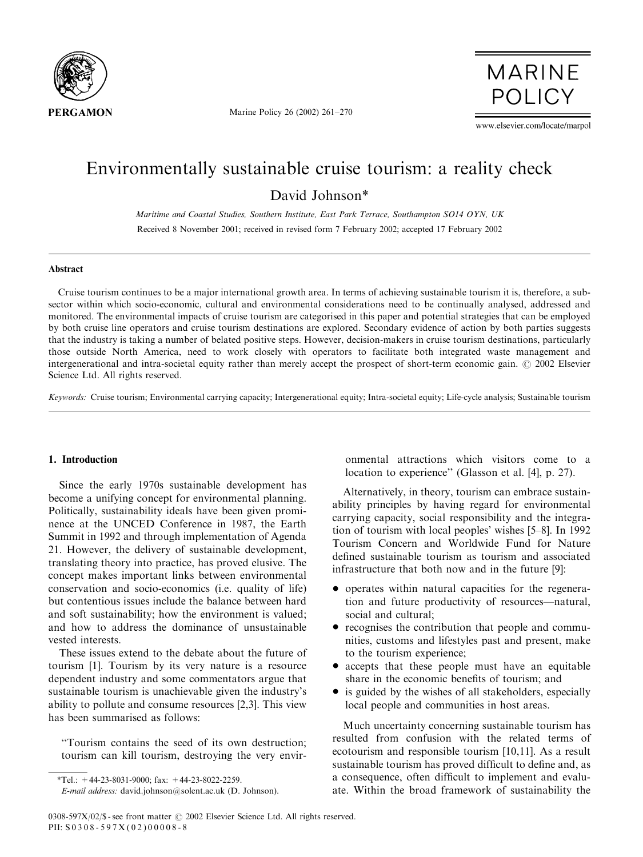

Marine Policy 26 (2002) 261–270

**MARINE POLICY** 

www.elsevier.com/locate/marpol

# Environmentally sustainable cruise tourism: a reality check

David Johnson\*

Maritime and Coastal Studies, Southern Institute, East Park Terrace, Southampton SO14 OYN, UK Received 8 November 2001; received in revised form 7 February 2002; accepted 17 February 2002

#### Abstract

Cruise tourism continues to be a major international growth area. In terms of achieving sustainable tourism it is, therefore, a subsector within which socio-economic, cultural and environmental considerations need to be continually analysed, addressed and monitored. The environmental impacts of cruise tourism are categorised in this paper and potential strategies that can be employed by both cruise line operators and cruise tourism destinations are explored. Secondary evidence of action by both parties suggests that the industry is taking a number of belated positive steps. However, decision-makers in cruise tourism destinations, particularly those outside North America, need to work closely with operators to facilitate both integrated waste management and intergenerational and intra-societal equity rather than merely accept the prospect of short-term economic gain.  $\odot$  2002 Elsevier Science Ltd. All rights reserved.

Keywords: Cruise tourism; Environmental carrying capacity; Intergenerational equity; Intra-societal equity; Life-cycle analysis; Sustainable tourism

## 1. Introduction

Since the early 1970s sustainable development has become a unifying concept for environmental planning. Politically, sustainability ideals have been given prominence at the UNCED Conference in 1987, the Earth Summit in 1992 and through implementation of Agenda 21. However, the delivery of sustainable development, translating theory into practice, has proved elusive. The concept makes important links between environmental conservation and socio-economics (i.e. quality of life) but contentious issues include the balance between hard and soft sustainability; how the environment is valued; and how to address the dominance of unsustainable vested interests.

These issues extend to the debate about the future of tourism [1]. Tourism by its very nature is a resource dependent industry and some commentators argue that sustainable tourism is unachievable given the industry's ability to pollute and consume resources [2,3]. This view has been summarised as follows:

''Tourism contains the seed of its own destruction; tourism can kill tourism, destroying the very environmental attractions which visitors come to a location to experience'' (Glasson et al. [4], p. 27).

Alternatively, in theory, tourism can embrace sustainability principles by having regard for environmental carrying capacity, social responsibility and the integration of tourism with local peoples' wishes [5–8]. In 1992 Tourism Concern and Worldwide Fund for Nature defined sustainable tourism as tourism and associated infrastructure that both now and in the future [9]:

- operates within natural capacities for the regeneration and future productivity of resources—natural, social and cultural;
- recognises the contribution that people and communities, customs and lifestyles past and present, make to the tourism experience;
- accepts that these people must have an equitable share in the economic benefits of tourism; and
- is guided by the wishes of all stakeholders, especially local people and communities in host areas.

Much uncertainty concerning sustainable tourism has resulted from confusion with the related terms of ecotourism and responsible tourism [10,11]. As a result sustainable tourism has proved difficult to define and, as a consequence, often difficult to implement and evaluate. Within the broad framework of sustainability the

<sup>\*</sup>Tel.:  $+44-23-8031-9000$ ; fax:  $+44-23-8022-2259$ . E-mail address: david.johnson@solent.ac.uk (D. Johnson).

<sup>0308-597</sup>X/02/\$ - see front matter  $\odot$  2002 Elsevier Science Ltd. All rights reserved. PII: S 0308-597X(02)00008-8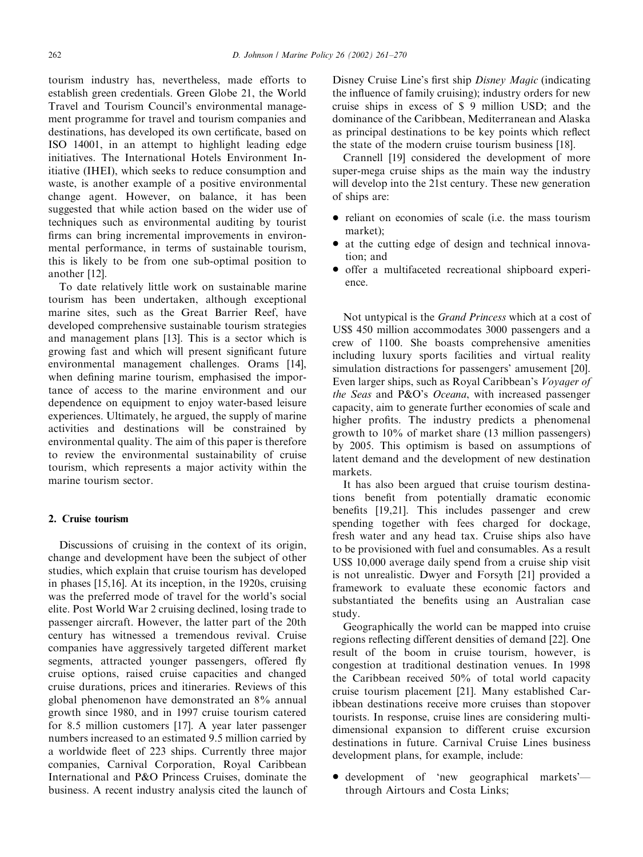tourism industry has, nevertheless, made efforts to establish green credentials. Green Globe 21, the World Travel and Tourism Council's environmental management programme for travel and tourism companies and destinations, has developed its own certificate, based on ISO 14001, in an attempt to highlight leading edge initiatives. The International Hotels Environment Initiative (IHEI), which seeks to reduce consumption and waste, is another example of a positive environmental change agent. However, on balance, it has been suggested that while action based on the wider use of techniques such as environmental auditing by tourist firms can bring incremental improvements in environmental performance, in terms of sustainable tourism, this is likely to be from one sub-optimal position to another [12].

To date relatively little work on sustainable marine tourism has been undertaken, although exceptional marine sites, such as the Great Barrier Reef, have developed comprehensive sustainable tourism strategies and management plans [13]. This is a sector which is growing fast and which will present significant future environmental management challenges. Orams [14], when defining marine tourism, emphasised the importance of access to the marine environment and our dependence on equipment to enjoy water-based leisure experiences. Ultimately, he argued, the supply of marine activities and destinations will be constrained by environmental quality. The aim of this paper is therefore to review the environmental sustainability of cruise tourism, which represents a major activity within the marine tourism sector.

### 2. Cruise tourism

Discussions of cruising in the context of its origin, change and development have been the subject of other studies, which explain that cruise tourism has developed in phases [15,16]. At its inception, in the 1920s, cruising was the preferred mode of travel for the world's social elite. Post World War 2 cruising declined, losing trade to passenger aircraft. However, the latter part of the 20th century has witnessed a tremendous revival. Cruise companies have aggressively targeted different market segments, attracted younger passengers, offered fly cruise options, raised cruise capacities and changed cruise durations, prices and itineraries. Reviews of this global phenomenon have demonstrated an 8% annual growth since 1980, and in 1997 cruise tourism catered for 8.5 million customers [17]. A year later passenger numbers increased to an estimated 9.5 million carried by a worldwide fleet of 223 ships. Currently three major companies, Carnival Corporation, Royal Caribbean International and P&O Princess Cruises, dominate the business. A recent industry analysis cited the launch of Disney Cruise Line's first ship Disney Magic (indicating the influence of family cruising); industry orders for new cruise ships in excess of \$ 9 million USD; and the dominance of the Caribbean, Mediterranean and Alaska as principal destinations to be key points which reflect the state of the modern cruise tourism business [18].

Crannell [19] considered the development of more super-mega cruise ships as the main way the industry will develop into the 21st century. These new generation of ships are:

- reliant on economies of scale (i.e. the mass tourism market);
- at the cutting edge of design and technical innovation; and
- \* offer a multifaceted recreational shipboard experience.

Not untypical is the Grand Princess which at a cost of US\$ 450 million accommodates 3000 passengers and a crew of 1100. She boasts comprehensive amenities including luxury sports facilities and virtual reality simulation distractions for passengers' amusement [20]. Even larger ships, such as Royal Caribbean's Voyager of the Seas and P&O's Oceana, with increased passenger capacity, aim to generate further economies of scale and higher profits. The industry predicts a phenomenal growth to 10% of market share (13 million passengers) by 2005. This optimism is based on assumptions of latent demand and the development of new destination markets.

It has also been argued that cruise tourism destinations benefit from potentially dramatic economic benefits [19,21]. This includes passenger and crew spending together with fees charged for dockage, fresh water and any head tax. Cruise ships also have to be provisioned with fuel and consumables. As a result US\$ 10,000 average daily spend from a cruise ship visit is not unrealistic. Dwyer and Forsyth [21] provided a framework to evaluate these economic factors and substantiated the benefits using an Australian case study.

Geographically the world can be mapped into cruise regions reflecting different densities of demand [22]. One result of the boom in cruise tourism, however, is congestion at traditional destination venues. In 1998 the Caribbean received 50% of total world capacity cruise tourism placement [21]. Many established Caribbean destinations receive more cruises than stopover tourists. In response, cruise lines are considering multidimensional expansion to different cruise excursion destinations in future. Carnival Cruise Lines business development plans, for example, include:

• development of 'new geographical markets'through Airtours and Costa Links;